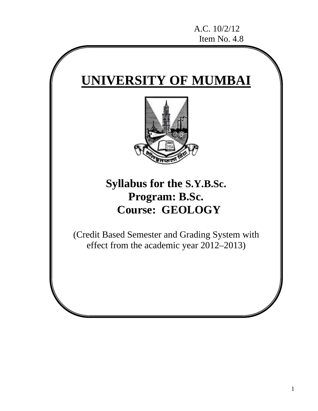# **UNIVERSITY OF MUMBAI**



## **Syllabus for the S.Y.B.Sc. Program: B.Sc. Course: GEOLOGY**

(Credit Based Semester and Grading System with effect from the academic year 2012–2013)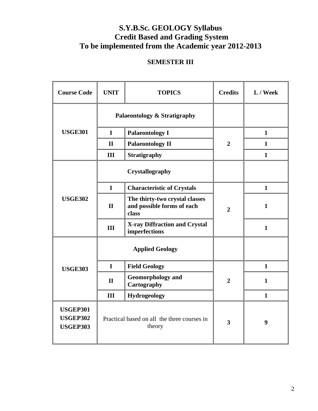## **S.Y.B.Sc. GEOLOGY Syllabus Credit Based and Grading System To be implemented from the Academic year 2012-2013**

## **SEMESTER III**

| <b>Course Code</b>                                    | <b>UNIT</b>                                           | <b>TOPICS</b>                                                         | <b>Credits</b> | L / Week     |
|-------------------------------------------------------|-------------------------------------------------------|-----------------------------------------------------------------------|----------------|--------------|
|                                                       | Palaeontology & Stratigraphy                          |                                                                       |                |              |
| <b>USGE301</b>                                        | $\mathbf I$                                           | <b>Palaeontology I</b>                                                |                | $\mathbf{1}$ |
|                                                       | $\mathbf{I}$                                          | <b>Palaeontology II</b>                                               | $\overline{2}$ | $\mathbf{1}$ |
|                                                       | III                                                   | <b>Stratigraphy</b>                                                   |                | $\mathbf{1}$ |
|                                                       |                                                       | Crystallography                                                       |                |              |
|                                                       | $\mathbf I$                                           | <b>Characteristic of Crystals</b>                                     |                | $\mathbf{1}$ |
| <b>USGE302</b>                                        | $\mathbf{I}$                                          | The thirty-two crystal classes<br>and possible forms of each<br>class | $\overline{2}$ | $\mathbf{1}$ |
|                                                       | III                                                   | <b>X-ray Diffraction and Crystal</b><br>imperfections                 |                | $\mathbf{1}$ |
|                                                       |                                                       | <b>Applied Geology</b>                                                |                |              |
| <b>USGE303</b>                                        | $\mathbf I$                                           | <b>Field Geology</b>                                                  |                | $\mathbf{1}$ |
|                                                       | $\mathbf{I}$                                          | <b>Geomorphology and</b><br>Cartography                               | $\overline{2}$ | $\mathbf{1}$ |
|                                                       | III                                                   | <b>Hydrogeology</b>                                                   |                | $\mathbf{1}$ |
| <b>USGEP301</b><br><b>USGEP302</b><br><b>USGEP303</b> | Practical based on all the three courses in<br>theory |                                                                       | 3              | 9            |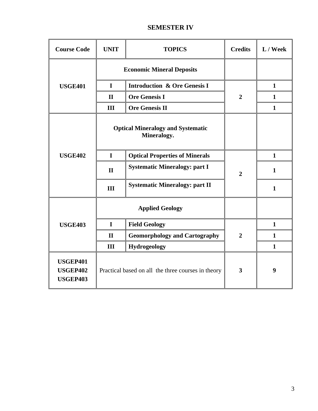## **SEMESTER IV**

| <b>Course Code</b>                                    | <b>UNIT</b>                                             | <b>TOPICS</b>                           | <b>Credits</b> | L / Week     |
|-------------------------------------------------------|---------------------------------------------------------|-----------------------------------------|----------------|--------------|
|                                                       | <b>Economic Mineral Deposits</b>                        |                                         |                |              |
| <b>USGE401</b>                                        | $\mathbf I$                                             | <b>Introduction &amp; Ore Genesis I</b> |                | $\mathbf{1}$ |
|                                                       | $\mathbf{I}$                                            | <b>Ore Genesis I</b>                    | $\overline{2}$ | $\mathbf{1}$ |
|                                                       | III                                                     | <b>Ore Genesis II</b>                   |                | $\mathbf{1}$ |
|                                                       | <b>Optical Mineralogy and Systematic</b><br>Mineralogy. |                                         |                |              |
| <b>USGE402</b>                                        | $\mathbf I$                                             | <b>Optical Properties of Minerals</b>   |                | $\mathbf{1}$ |
|                                                       | $\mathbf{I}$                                            | <b>Systematic Mineralogy: part I</b>    | $\overline{2}$ | $\mathbf{1}$ |
|                                                       | III                                                     | <b>Systematic Mineralogy: part II</b>   |                | $\mathbf{1}$ |
|                                                       | <b>Applied Geology</b>                                  |                                         |                |              |
| <b>USGE403</b>                                        | $\mathbf I$                                             | <b>Field Geology</b>                    |                | $\mathbf{1}$ |
|                                                       | $\mathbf{I}$                                            | <b>Geomorphology and Cartography</b>    | $\overline{2}$ | $\mathbf{1}$ |
|                                                       | III                                                     | Hydrogeology                            |                | $\mathbf{1}$ |
| <b>USGEP401</b><br><b>USGEP402</b><br><b>USGEP403</b> | 3<br>Practical based on all the three courses in theory |                                         | 9              |              |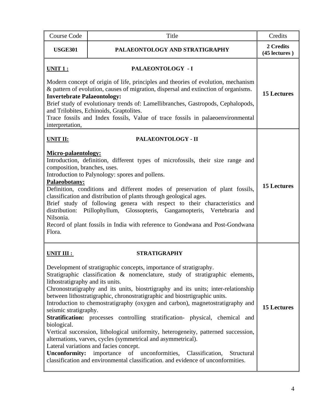| <b>Course Code</b>                                                                                                                                                                                                                                                                                                                                                                                                                                                                        | Title                                                                                                                                                                                                                                                                                                                                                                                                                                                                                                                                                                                                                                                                                                                                                                                                                                                               | Credits                    |
|-------------------------------------------------------------------------------------------------------------------------------------------------------------------------------------------------------------------------------------------------------------------------------------------------------------------------------------------------------------------------------------------------------------------------------------------------------------------------------------------|---------------------------------------------------------------------------------------------------------------------------------------------------------------------------------------------------------------------------------------------------------------------------------------------------------------------------------------------------------------------------------------------------------------------------------------------------------------------------------------------------------------------------------------------------------------------------------------------------------------------------------------------------------------------------------------------------------------------------------------------------------------------------------------------------------------------------------------------------------------------|----------------------------|
| <b>USGE301</b>                                                                                                                                                                                                                                                                                                                                                                                                                                                                            | PALAEONTOLOGY AND STRATIGRAPHY                                                                                                                                                                                                                                                                                                                                                                                                                                                                                                                                                                                                                                                                                                                                                                                                                                      | 2 Credits<br>(45 lectures) |
| <u>UNIT 1:</u><br>PALAEONTOLOGY - I<br>Modern concept of origin of life, principles and theories of evolution, mechanism<br>& pattern of evolution, causes of migration, dispersal and extinction of organisms.<br><b>Invertebrate Palaeontology:</b><br>Brief study of evolutionary trends of: Lamellibranches, Gastropods, Cephalopods,<br>and Trilobites, Echinoids, Graptolites.<br>Trace fossils and Index fossils, Value of trace fossils in palaeoenvironmental<br>interpretation, |                                                                                                                                                                                                                                                                                                                                                                                                                                                                                                                                                                                                                                                                                                                                                                                                                                                                     | <b>15 Lectures</b>         |
| <b>UNIT II:</b><br><b>Micro-palaentology:</b><br>composition, branches, uses.<br>Palaeobotany:<br>distribution:<br>Nilsonia.<br>Flora.                                                                                                                                                                                                                                                                                                                                                    | PALAEONTOLOGY - II<br>Introduction, definition, different types of microfossils, their size range and<br>Introduction to Palynology: spores and pollens.<br>Definition, conditions and different modes of preservation of plant fossils,<br>classification and distribution of plants through geological ages.<br>Brief study of following genera with respect to their characteristics and<br>Ptillophyllum, Glossopteris, Gangamopteris, Vertebraria<br>and<br>Record of plant fossils in India with reference to Gondwana and Post-Gondwana                                                                                                                                                                                                                                                                                                                      | <b>15 Lectures</b>         |
| UNIT III :<br>lithostratigraphy and its units.<br>seismic stratigraphy.<br>biological.<br><b>Unconformity:</b>                                                                                                                                                                                                                                                                                                                                                                            | <b>STRATIGRAPHY</b><br>Development of stratigraphic concepts, importance of stratigraphy.<br>Stratigraphic classification & nomenclature, study of stratigraphic elements,<br>Chronostratigraphy and its units, biostrtigraphy and its units; inter-relationship<br>between lithostratigraphic, chronostratigraphic and biostrtigraphic units.<br>Introduction to chemostratigraphy (oxygen and carbon), magnetostratigraphy and<br>Stratification: processes controlling stratification- physical, chemical and<br>Vertical succession, lithological uniformity, heterogeneity, patterned succession,<br>alternations, varves, cycles (symmetrical and asymmetrical).<br>Lateral variations and facies concept.<br>importance of unconformities, Classification,<br>Structural<br>classification and environmental classification. and evidence of unconformities. | <b>15 Lectures</b>         |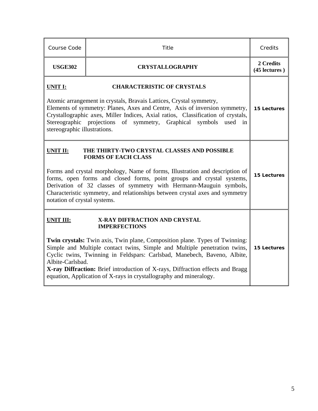| Course Code                                                                                                                                                                                                                                                                                                                                                                                                                                 | Title                                                                                                                                                                                                                                                                                                                                                                                                                                                 | Credits                    |
|---------------------------------------------------------------------------------------------------------------------------------------------------------------------------------------------------------------------------------------------------------------------------------------------------------------------------------------------------------------------------------------------------------------------------------------------|-------------------------------------------------------------------------------------------------------------------------------------------------------------------------------------------------------------------------------------------------------------------------------------------------------------------------------------------------------------------------------------------------------------------------------------------------------|----------------------------|
| <b>USGE302</b>                                                                                                                                                                                                                                                                                                                                                                                                                              | <b>CRYSTALLOGRAPHY</b>                                                                                                                                                                                                                                                                                                                                                                                                                                | 2 Credits<br>(45 lectures) |
| <b>CHARACTERISTIC OF CRYSTALS</b><br><b>UNIT I:</b><br>Atomic arrangement in crystals, Bravais Lattices, Crystal symmetry,<br>Elements of symmetry: Planes, Axes and Centre, Axis of inversion symmetry,<br>Crystallographic axes, Miller Indices, Axial ratios, Classification of crystals,<br>Stereographic projections<br>of symmetry, Graphical<br>symbols<br>used<br>in<br>stereographic illustrations.                                |                                                                                                                                                                                                                                                                                                                                                                                                                                                       | <b>15 Lectures</b>         |
| <b>UNIT II:</b><br>THE THIRTY-TWO CRYSTAL CLASSES AND POSSIBLE<br><b>FORMS OF EACH CLASS</b><br>Forms and crystal morphology, Name of forms, Illustration and description of<br>forms, open forms and closed forms, point groups and crystal systems,<br>Derivation of 32 classes of symmetry with Hermann-Mauguin symbols,<br>Characteristic symmetry, and relationships between crystal axes and symmetry<br>notation of crystal systems. |                                                                                                                                                                                                                                                                                                                                                                                                                                                       | <b>15 Lectures</b>         |
| <b>UNIT III:</b><br>Albite-Carlsbad.                                                                                                                                                                                                                                                                                                                                                                                                        | X-RAY DIFFRACTION AND CRYSTAL<br><b>IMPERFECTIONS</b><br>Twin crystals: Twin axis, Twin plane, Composition plane. Types of Twinning:<br>Simple and Multiple contact twins, Simple and Multiple penetration twins,<br>Cyclic twins, Twinning in Feldspars: Carlsbad, Manebech, Baveno, Albite,<br>X-ray Diffraction: Brief introduction of X-rays, Diffraction effects and Bragg<br>equation, Application of X-rays in crystallography and mineralogy. | <b>15 Lectures</b>         |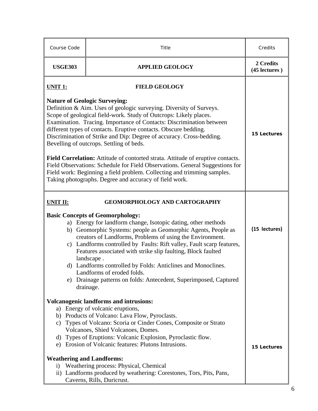| Course Code                                                                                                                                                                                                                                                                                                                                                                                                                                                                                                                                                                   | Title                                                                                                                                                                                                                                                                                                             | Credits                    |
|-------------------------------------------------------------------------------------------------------------------------------------------------------------------------------------------------------------------------------------------------------------------------------------------------------------------------------------------------------------------------------------------------------------------------------------------------------------------------------------------------------------------------------------------------------------------------------|-------------------------------------------------------------------------------------------------------------------------------------------------------------------------------------------------------------------------------------------------------------------------------------------------------------------|----------------------------|
| <b>USGE303</b>                                                                                                                                                                                                                                                                                                                                                                                                                                                                                                                                                                | <b>APPLIED GEOLOGY</b>                                                                                                                                                                                                                                                                                            | 2 Credits<br>(45 lectures) |
| <b>UNIT 1:</b>                                                                                                                                                                                                                                                                                                                                                                                                                                                                                                                                                                | <b>FIELD GEOLOGY</b>                                                                                                                                                                                                                                                                                              |                            |
| <b>Nature of Geologic Surveying:</b><br>Definition & Aim. Uses of geologic surveying. Diversity of Surveys.<br>Scope of geological field-work. Study of Outcrops: Likely places.<br>Examination. Tracing. Importance of Contacts: Discrimination between<br>different types of contacts. Eruptive contacts. Obscure bedding.<br>Discrimination of Strike and Dip: Degree of accuracy. Cross-bedding.<br>Bevelling of outcrops. Settling of beds.                                                                                                                              | <b>15 Lectures</b>                                                                                                                                                                                                                                                                                                |                            |
| Field Correlation: Attitude of contorted strata. Attitude of eruptive contacts.<br>Field Observations: Schedule for Field Observations. General Suggestions for<br>Field work: Beginning a field problem. Collecting and trimming samples.<br>Taking photographs. Degree and accuracy of field work.                                                                                                                                                                                                                                                                          |                                                                                                                                                                                                                                                                                                                   |                            |
| <b>UNIT II:</b>                                                                                                                                                                                                                                                                                                                                                                                                                                                                                                                                                               | <b>GEOMORPHOLOGY AND CARTOGRAPHY</b>                                                                                                                                                                                                                                                                              |                            |
| <b>Basic Concepts of Geomorphology:</b><br>a) Energy for landform change, Isotopic dating, other methods<br>b) Geomorphic Systems: people as Geomorphic Agents, People as<br>creators of Landforms, Problems of using the Environment.<br>c) Landforms controlled by Faults: Rift valley, Fault scarp features,<br>Features associated with strike slip faulting, Block faulted<br>landscape.<br>d) Landforms controlled by Folds: Anticlines and Monoclines.<br>Landforms of eroded folds.<br>e) Drainage patterns on folds: Antecedent, Superimposed, Captured<br>drainage. |                                                                                                                                                                                                                                                                                                                   | (15 lectures)              |
|                                                                                                                                                                                                                                                                                                                                                                                                                                                                                                                                                                               | <b>Volcanogenic landforms and intrusions:</b>                                                                                                                                                                                                                                                                     |                            |
| e)                                                                                                                                                                                                                                                                                                                                                                                                                                                                                                                                                                            | a) Energy of volcanic eruptions,<br>b) Products of Volcano: Lava Flow, Pyroclasts.<br>c) Types of Volcano: Scoria or Cinder Cones, Composite or Strato<br>Volcanoes, Shied Volcanoes, Domes.<br>d) Types of Eruptions: Volcanic Explosion, Pyroclastic flow.<br>Erosion of Volcanic features: Plutons Intrusions. | <b>15 Lectures</b>         |
| <b>Weathering and Landforms:</b><br>$\rm i)$                                                                                                                                                                                                                                                                                                                                                                                                                                                                                                                                  | Weathering process: Physical, Chemical<br>ii) Landforms produced by weathering: Corestones, Tors, Pits, Pans,<br>Caverns, Rills, Duricrust.                                                                                                                                                                       |                            |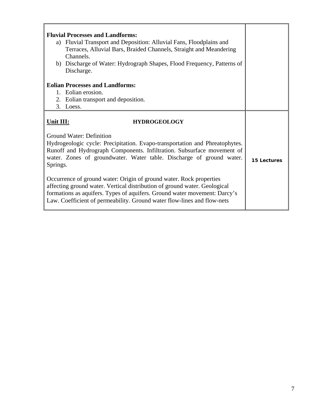| <b>Fluvial Processes and Landforms:</b><br>a) Fluvial Transport and Deposition: Alluvial Fans, Floodplains and<br>Terraces, Alluvial Bars, Braided Channels, Straight and Meandering<br>Channels.<br>b) Discharge of Water: Hydrograph Shapes, Flood Frequency, Patterns of<br>Discharge. |             |
|-------------------------------------------------------------------------------------------------------------------------------------------------------------------------------------------------------------------------------------------------------------------------------------------|-------------|
| <b>Eolian Processes and Landforms:</b>                                                                                                                                                                                                                                                    |             |
| 1. Eolian erosion.                                                                                                                                                                                                                                                                        |             |
| 2. Eolian transport and deposition.                                                                                                                                                                                                                                                       |             |
| 3. Loess.                                                                                                                                                                                                                                                                                 |             |
|                                                                                                                                                                                                                                                                                           |             |
| Unit III:<br><b>HYDROGEOLOGY</b>                                                                                                                                                                                                                                                          |             |
| <b>Ground Water: Definition</b><br>Hydrogeologic cycle: Precipitation. Evapo-transportation and Phreatophytes.<br>Runoff and Hydrograph Components. Infiltration. Subsurface movement of<br>water. Zones of groundwater. Water table. Discharge of ground water.<br>Springs.              | 15 Lectures |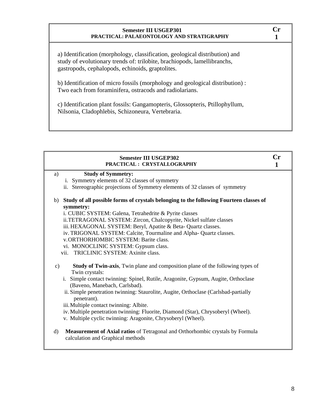#### **Semester III USGEP301 PRACTICAL: PALAEONTOLOGY AND STRATIGRAPHY**

a) Identification (morphology, classification, geological distribution) and study of evolutionary trends of: trilobite, brachiopods, lamellibranchs, gastropods, cephalopods, echinoids, graptolites.

b) Identification of micro fossils (morphology and geological distribution) : Two each from foraminifera, ostracods and radiolarians.

c) Identification plant fossils: Gangamopteris, Glossopteris, Ptillophyllum, Nilsonia, Cladophlebis, Schizoneura, Vertebraria.

| <b>Semester III USGEP302</b><br>PRACTICAL: CRYSTALLOGRAPHY                                                                            | $\mathbf{Cr}$ |
|---------------------------------------------------------------------------------------------------------------------------------------|---------------|
| <b>Study of Symmetry:</b><br>a)                                                                                                       |               |
| i. Symmetry elements of 32 classes of symmetry                                                                                        |               |
| ii. Stereographic projections of Symmetry elements of 32 classes of symmetry                                                          |               |
| b) Study of all possible forms of crystals belonging to the following Fourteen classes of                                             |               |
| symmetry:                                                                                                                             |               |
| i. CUBIC SYSTEM: Galena, Tetrahedrite & Pyrite classes                                                                                |               |
| ii.TETRAGONAL SYSTEM: Zircon, Chalcopyrite, Nickel sulfate classes                                                                    |               |
| iii. HEXAGONAL SYSTEM: Beryl, Apatite & Beta- Quartz classes.                                                                         |               |
| iv. TRIGONAL SYSTEM: Calcite, Tourmaline and Alpha- Quartz classes.                                                                   |               |
| v.ORTHORHOMBIC SYSTEM: Barite class.                                                                                                  |               |
| vi. MONOCLINIC SYSTEM: Gypsum class.                                                                                                  |               |
| vii. TRICLINIC SYSTEM: Axinite class.                                                                                                 |               |
| <b>Study of Twin-axis,</b> Twin plane and composition plane of the following types of<br>$\mathbf{c})$<br>Twin crystals:              |               |
| i. Simple contact twinning: Spinel, Rutile, Aragonite, Gypsum, Augite, Orthoclase<br>(Baveno, Manebach, Carlsbad).                    |               |
| ii. Simple penetration twinning: Staurolite, Augite, Orthoclase (Carlsbad-partially<br>penetrant).                                    |               |
| iii. Multiple contact twinning: Albite.                                                                                               |               |
| iv. Multiple penetration twinning: Fluorite, Diamond (Star), Chrysoberyl (Wheel).                                                     |               |
| v. Multiple cyclic twinning: Aragonite, Chrysoberyl (Wheel).                                                                          |               |
| $\rm d$<br><b>Measurement of Axial ratios</b> of Tetragonal and Orthorhombic crystals by Formula<br>calculation and Graphical methods |               |

**Cr 1**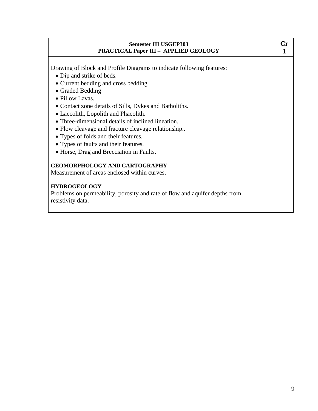#### **Semester III USGEP303 PRACTICAL Paper III – APPLIED GEOLOGY**

Drawing of Block and Profile Diagrams to indicate following features:

- Dip and strike of beds.
- Current bedding and cross bedding
- Graded Bedding
- Pillow Lavas.
- Contact zone details of Sills, Dykes and Batholiths.
- Laccolith, Lopolith and Phacolith.
- Three-dimensional details of inclined lineation.
- Flow cleavage and fracture cleavage relationship..
- Types of folds and their features.
- Types of faults and their features.
- Horse, Drag and Brecciation in Faults.

#### **GEOMORPHOLOGY AND CARTOGRAPHY**

Measurement of areas enclosed within curves.

#### **HYDROGEOLOGY**

Problems on permeability, porosity and rate of flow and aquifer depths from resistivity data.

**Cr 1**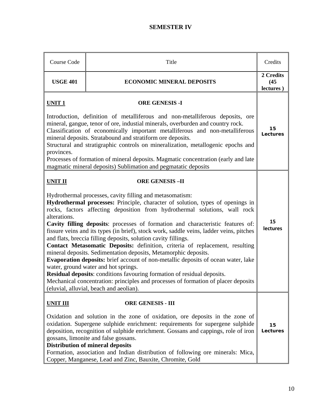## **SEMESTER IV**

| Course Code                                                                                                                                                                                                                                                                                                                                                                                                                                                                                                                                                                                                                                                                                                                                                                                                                                                                                                                                                                                                                     | Title                            | Credits                        |
|---------------------------------------------------------------------------------------------------------------------------------------------------------------------------------------------------------------------------------------------------------------------------------------------------------------------------------------------------------------------------------------------------------------------------------------------------------------------------------------------------------------------------------------------------------------------------------------------------------------------------------------------------------------------------------------------------------------------------------------------------------------------------------------------------------------------------------------------------------------------------------------------------------------------------------------------------------------------------------------------------------------------------------|----------------------------------|--------------------------------|
| <b>USGE 401</b>                                                                                                                                                                                                                                                                                                                                                                                                                                                                                                                                                                                                                                                                                                                                                                                                                                                                                                                                                                                                                 | <b>ECONOMIC MINERAL DEPOSITS</b> | 2 Credits<br>(45)<br>lectures) |
| <b>ORE GENESIS -I</b><br><b>UNIT1</b><br>Introduction, definition of metalliferous and non-metalliferous deposits, ore<br>mineral, gangue, tenor of ore, industial minerals, overburden and country rock.<br>Classification of economically important metalliferous and non-metalliferous<br>mineral deposits. Stratabound and stratiform ore deposits.<br>Structural and stratigraphic controls on mineralization, metallogenic epochs and<br>provinces.<br>Processes of formation of mineral deposits. Magmatic concentration (early and late<br>magmatic mineral deposits) Sublimation and pegmatatic deposits                                                                                                                                                                                                                                                                                                                                                                                                               |                                  |                                |
| <b>UNIT II</b><br><b>ORE GENESIS-II</b><br>Hydrothermal processes, cavity filling and metasomatism:<br>Hydrothermal processes: Principle, character of solution, types of openings in<br>rocks, factors affecting deposition from hydrothermal solutions, wall rock<br>alterations.<br>Cavity filling deposits: processes of formation and characteristic features of:<br>fissure veins and its types (in brief), stock work, saddle veins, ladder veins, pitches<br>and flats, breccia filling deposits, solution cavity fillings.<br>Contact Metasomatic Deposits: definition, criteria of replacement, resulting<br>mineral deposits. Sedimentation deposits, Metamorphic deposits.<br>Evaporation deposits: brief account of non-metallic deposits of ocean water, lake<br>water, ground water and hot springs.<br>Residual deposits: conditions favouring formation of residual deposits.<br>Mechanical concentration: principles and processes of formation of placer deposits<br>(eluvial, alluvial, beach and aeolian). |                                  | 15<br><b>lectures</b>          |
| <b>ORE GENESIS - III</b><br><b>UNIT III</b><br>Oxidation and solution in the zone of oxidation, ore deposits in the zone of<br>oxidation. Supergene sulphide enrichment: requirements for supergene sulphide<br>deposition, recognition of sulphide enrichment. Gossans and cappings, role of iron<br>gossans, limonite and false gossans.<br><b>Distribution of mineral deposits</b><br>Formation, association and Indian distribution of following ore minerals: Mica,<br>Copper, Manganese, Lead and Zinc, Bauxite, Chromite, Gold                                                                                                                                                                                                                                                                                                                                                                                                                                                                                           |                                  | 15<br>Lectures                 |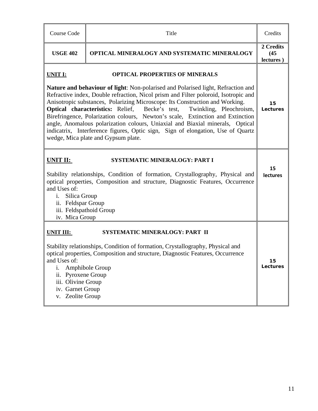| Course Code                                                                                                                                                                                                                                                                                                                                                                                                                                                                                                                                                                                                                                                                                                   | Title                                                                                                                                                                                                                 | Credits                        |
|---------------------------------------------------------------------------------------------------------------------------------------------------------------------------------------------------------------------------------------------------------------------------------------------------------------------------------------------------------------------------------------------------------------------------------------------------------------------------------------------------------------------------------------------------------------------------------------------------------------------------------------------------------------------------------------------------------------|-----------------------------------------------------------------------------------------------------------------------------------------------------------------------------------------------------------------------|--------------------------------|
| <b>USGE 402</b>                                                                                                                                                                                                                                                                                                                                                                                                                                                                                                                                                                                                                                                                                               | OPTICAL MINERALOGY AND SYSTEMATIC MINERALOGY                                                                                                                                                                          | 2 Credits<br>(45)<br>lectures) |
| <b>UNIT I:</b><br><b>OPTICAL PROPERTIES OF MINERALS</b><br><b>Nature and behaviour of light:</b> Non-polarised and Polarised light, Refraction and<br>Refractive index, Double refraction, Nicol prism and Filter poloroid, Isotropic and<br>Anisotropic substances, Polarizing Microscope: Its Construction and Working.<br><b>Optical characteristics:</b> Relief,<br>Becke's test,<br>Twinkling, Pleochroism,<br>Birefringence, Polarization colours, Newton's scale, Extinction and Extinction<br>angle, Anomalous polarization colours, Uniaxial and Biaxial minerals, Optical<br>indicatrix, Interference figures, Optic sign, Sign of elongation, Use of Quartz<br>wedge, Mica plate and Gypsum plate. |                                                                                                                                                                                                                       | 15<br>Lectures                 |
| UNIT II:<br><b>SYSTEMATIC MINERALOGY: PART I</b><br>Stability relationships, Condition of formation, Crystallography, Physical and<br>optical properties, Composition and structure, Diagnostic Features, Occurrence<br>and Uses of:<br>Silica Group<br>i.<br>ii. Feldspar Group<br>iii. Feldspathoid Group<br>iv. Mica Group                                                                                                                                                                                                                                                                                                                                                                                 |                                                                                                                                                                                                                       | 15<br><b>lectures</b>          |
| <b>UNIT III:</b><br>and Uses of:<br>i.<br>ii. Pyroxene Group<br>iii. Olivine Group<br>iv. Garnet Group<br>v. Zeolite Group                                                                                                                                                                                                                                                                                                                                                                                                                                                                                                                                                                                    | SYSTEMATIC MINERALOGY: PART II<br>Stability relationships, Condition of formation, Crystallography, Physical and<br>optical properties, Composition and structure, Diagnostic Features, Occurrence<br>Amphibole Group | 15<br>Lectures                 |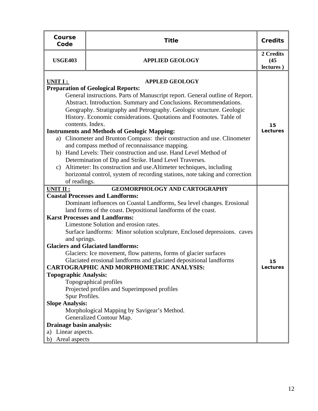| Course<br>Code                                                                                                                                                                                                                                                                                                                                                                                                                                                                                                                                                                                                                                                                                                                                                                                                                                                                                                                                                         | <b>Title</b>           | <b>Credits</b>                 |
|------------------------------------------------------------------------------------------------------------------------------------------------------------------------------------------------------------------------------------------------------------------------------------------------------------------------------------------------------------------------------------------------------------------------------------------------------------------------------------------------------------------------------------------------------------------------------------------------------------------------------------------------------------------------------------------------------------------------------------------------------------------------------------------------------------------------------------------------------------------------------------------------------------------------------------------------------------------------|------------------------|--------------------------------|
| <b>USGE403</b>                                                                                                                                                                                                                                                                                                                                                                                                                                                                                                                                                                                                                                                                                                                                                                                                                                                                                                                                                         | <b>APPLIED GEOLOGY</b> | 2 Credits<br>(45)<br>lectures) |
| <b>APPLED GEOLOGY</b><br>UNIT I :<br><b>Preparation of Geological Reports:</b><br>General instructions. Parts of Manuscript report. General outline of Report.<br>Abstract. Introduction. Summary and Conclusions. Recommendations.<br>Geography. Stratigraphy and Petrography. Geologic structure. Geologic<br>History. Economic considerations. Quotations and Footnotes. Table of<br>contents. Index.<br><b>Instruments and Methods of Geologic Mapping:</b><br>a) Clinometer and Brunton Compass: their construction and use. Clinometer<br>and compass method of reconnaissance mapping.<br>Hand Levels: Their construction and use. Hand Level Method of<br>b)<br>Determination of Dip and Strike. Hand Level Traverses.<br>Altimeter: Its construction and use. Altimeter techniques, including<br>c)<br>horizontal control, system of recording stations, note taking and correction                                                                           |                        | 15<br>Lectures                 |
| of readings.<br><b>GEOMORPHOLOGY AND CARTOGRAPHY</b><br><b>UNIT II:</b><br><b>Coastal Processes and Landforms:</b><br>Dominant influences on Coastal Landforms, Sea level changes. Erosional<br>land forms of the coast. Depositional landforms of the coast.<br><b>Karst Processes and Landforms:</b><br>Limestone Solution and erosion rates.<br>Surface landforms: Minor solution sculpture, Enclosed depressions. caves<br>and springs.<br><b>Glaciers and Glaciated landforms:</b><br>Glaciers: Ice movement, flow patterns, forms of glacier surfaces<br>Glaciated erosional landforms and glaciated depositional landforms<br><b>CARTOGRAPHIC AND MORPHOMETRIC ANALYSIS:</b><br><b>Topographic Analysis:</b><br>Topographical profiles<br>Projected profiles and Superimposed profiles<br>Spur Profiles.<br><b>Slope Analysis:</b><br>Morphological Mapping by Savigear's Method.<br>Generalized Contour Map.<br>Drainage basin analysis:<br>a) Linear aspects. |                        | 15<br>Lectures                 |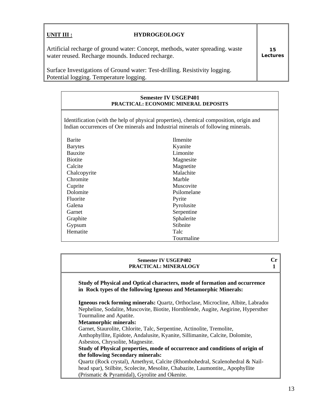| UNIT III :                                                                                                                        | <b>HYDROGEOLOGY</b>                                                         |                |
|-----------------------------------------------------------------------------------------------------------------------------------|-----------------------------------------------------------------------------|----------------|
| Artificial recharge of ground water: Concept, methods, water spreading. waste<br>water reused. Recharge mounds. Induced recharge. |                                                                             | 15<br>Lectures |
| Potential logging. Temperature logging.                                                                                           | Surface Investigations of Ground water: Test-drilling. Resistivity logging. |                |

#### **Semester IV USGEP401 PRACTICAL: ECONOMIC MINERAL DEPOSITS**

Identification (with the help of physical properties), chemical composition, origin and Indian occurrences of Ore minerals and Industrial minerals of following minerals.

| Barite         | Ilmenite    |
|----------------|-------------|
| <b>Barytes</b> | Kyanite     |
| Bauxite        | Limonite    |
| <b>Biotite</b> | Magnesite   |
| Calcite        | Magnetite   |
| Chalcopyrite   | Malachite   |
| Chromite       | Marble      |
| Cuprite        | Muscovite   |
| Dolomite       | Psilomelane |
| Fluorite       | Pyrite      |
| Galena         | Pyrolusite  |
| Garnet         | Serpentine  |
| Graphite       | Sphalerite  |
| Gypsum         | Stibnite    |
| Hematite       | Talc        |
|                | Tourmaline  |

#### **Semester IV USGEP402 PRACTICAL: MINERALOGY**

**Cr 1** 

**Study of Physical and Optical characters, mode of formation and occurrence in Rock types of the following Igneous and Metamorphic Minerals:** 

**Igneous rock forming minerals:** Quartz, Orthoclase, Microcline, Albite, Labrador Nepheline, Sodalite, Muscovite, Biotite, Hornblende, Augite, Aegirine, Hypersthen Tourmaline and Apatite.

**Metamorphic minerals:** 

Garnet, Staurolite, Chlorite, Talc, Serpentine, Actinolite, Tremolite, Anthophyllite, Epidote, Andalusite, Kyanite, Sillimanite, Calcite, Dolomite, Asbestos, Chrysolite, Magnesite.

**Study of Physical properties, mode of occurrence and conditions of origin of the following Secondary minerals:**

Quartz (Rock crystal), Amethyst, Calcite (Rhombohedral, Scalenohedral & Nailhead spar), Stilbite, Scolecite, Mesolite, Chabazite, Laumontite,, Apophyllite (Prismatic & Pyramidal), Gyrolite and Okenite.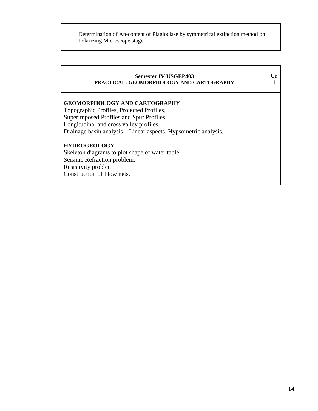Determination of An-content of Plagioclase by symmetrical extinction method on Polarizing Microscope stage.

#### **Semester IV USGEP403 PRACTICAL: GEOMORPHOLOGY AND CARTOGRAPHY**

**Cr 1** 

## **GEOMORPHOLOGY AND CARTOGRAPHY**

Topographic Profiles, Projected Profiles, Superimposed Profiles and Spur Profiles. Longitudinal and cross valley profiles. Drainage basin analysis – Linear aspects. Hypsometric analysis.

#### **HYDROGEOLOGY**

Skeleton diagrams to plot shape of water table. Seismic Refraction problem, Resistivity problem Construction of Flow nets.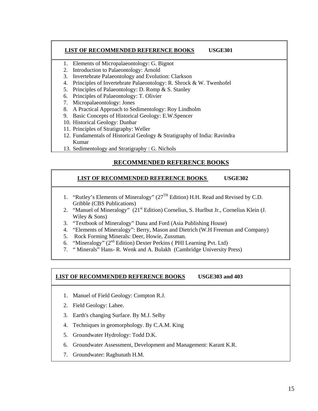#### **LIST OF RECOMMENDED REFERENCE BOOKS USGE301**

- 1. Elements of Micropalaeontology: G. Bignot
- 2. Introduction to Palaeontology: Arnold
- 3. Invertebrate Palaeontology and Evolution: Clarkson
- 4. Principles of Invertebrate Palaeontology: R. Shrock & W. Twenhofel
- 5. Principles of Palaeontology: D. Romp & S. Stanley
- 6. Principles of Palaeontology: T. Olivier
- 7. Micropalaeontology: Jones
- 8. A Practical Approach to Sedimentology: Roy Lindholm
- 9. Basic Concepts of Historical Geology: E.W.Spencer
- 10. Historical Geology: Dunbar
- 11. Principles of Stratigraphy: Weller
- 12. Fundamentals of Historical Geology & Stratigraphy of India: Ravindra Kumar
- 13. Sedimentology and Stratigraphy : G. Nichols

## **RECOMMENDED REFERENCE BOOKS**

#### **LIST OF RECOMMENDED REFERENCE BOOKS USGE302**

- 1. "Rutley's Elements of Mineralogy" (27TH Edition) H.H. Read and Revised by C.D. Gribble (CBS Publications)
- 2. "Manuel of Mineralogy" (21<sup>st</sup> Edition) Cornelius, S. Hurlbut Jr., Cornelius Klein (J. Wiley & Sons)
- 3. "Textbook of Mineralogy" Dana and Ford (Asia Publishing House)
- 4. "Elements of Mineralogy": Berry, Mason and Dietrich (W.H Freeman and Company)
- 5. Rock Forming Minerals: Deer, Howie, Zussman.
- 6. "Mineralogy"  $(2<sup>nd</sup> Edition)$  Dexter Perkins (PHI Learning Pvt. Ltd)
- 7. " Minerals" Hans- R. Wenk and A. Bulakh (Cambridge University Press)

#### **LIST OF RECOMMENDED REFERENCE BOOKS USGE303 and 403**

- 1. Manuel of Field Geology: Compton R.J.
- 2. Field Geology: Lahee.
- 3. Earth's changing Surface. By M.J. Selby
- 4. Techniques in geomorphology. By C.A.M. King
- 5. Groundwater Hydrology: Todd D.K.
- 6. Groundwater Assessment, Development and Management: Karant K.R.
- 7. Groundwater: Raghunath H.M.